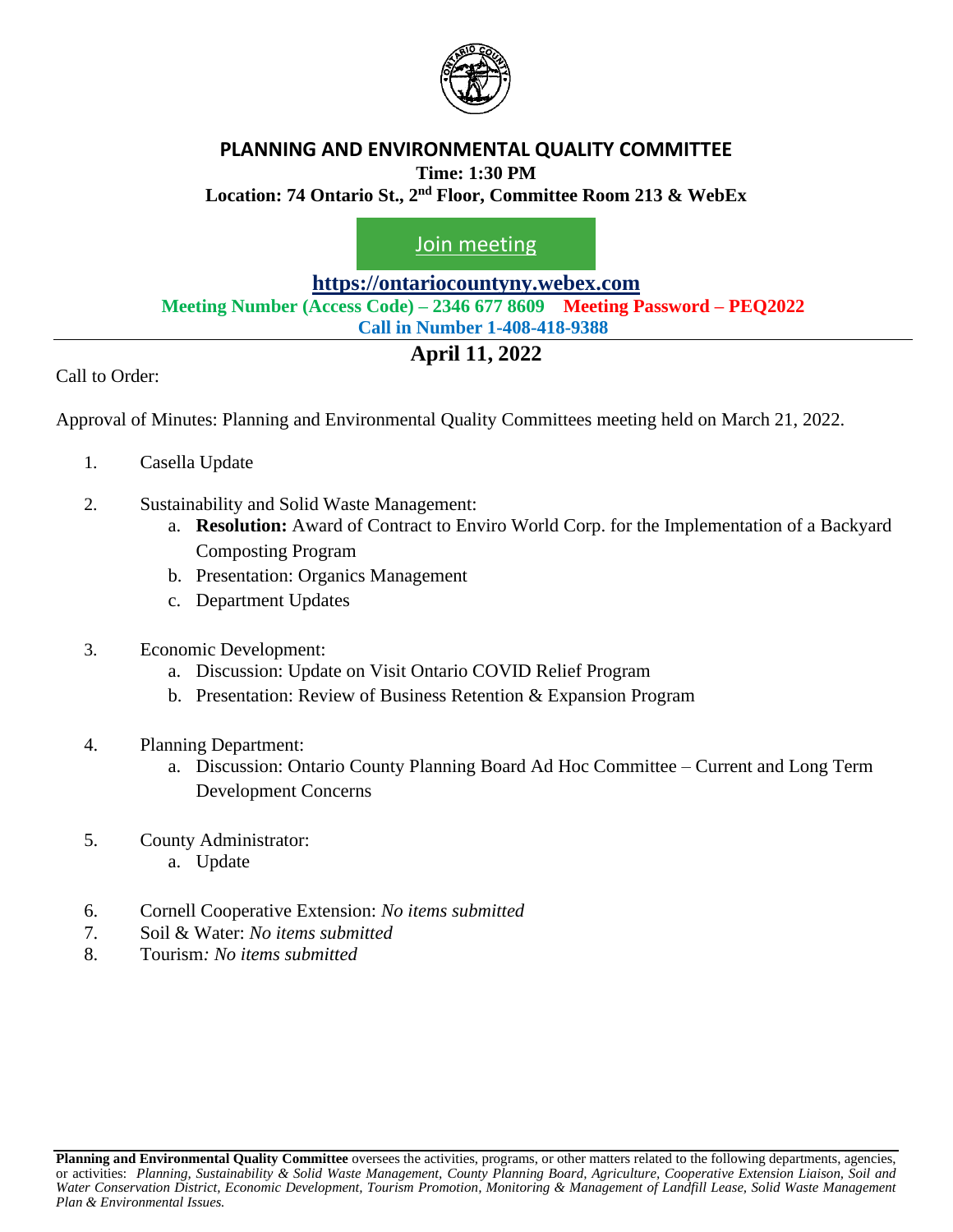

#### **PLANNING AND ENVIRONMENTAL QUALITY COMMITTEE Time: 1:30 PM**

**Location: 74 Ontario St., 2 nd Floor, Committee Room 213 & WebEx**

[Join meeting](https://ontariocountyny.webex.com/)

**[https://ontariocountyny.webex.com](https://ontariocountyny.webex.com/)**

**Meeting Number (Access Code) – 2346 677 8609 Meeting Password – PEQ2022**

## **Call in Number 1-408-418-9388**

## **April 11, 2022**

Call to Order:

Approval of Minutes: Planning and Environmental Quality Committees meeting held on March 21, 2022.

- 1. Casella Update
- 2. Sustainability and Solid Waste Management:
	- a. **Resolution:** Award of Contract to Enviro World Corp. for the Implementation of a Backyard Composting Program
	- b. Presentation: Organics Management
	- c. Department Updates
- 3. Economic Development:
	- a. Discussion: Update on Visit Ontario COVID Relief Program
	- b. Presentation: Review of Business Retention & Expansion Program
- 4. Planning Department:
	- a. Discussion: Ontario County Planning Board Ad Hoc Committee Current and Long Term Development Concerns
- 5. County Administrator:
	- a. Update
- 6. Cornell Cooperative Extension: *No items submitted*
- 7. Soil & Water: *No items submitted*
- 8. Tourism*: No items submitted*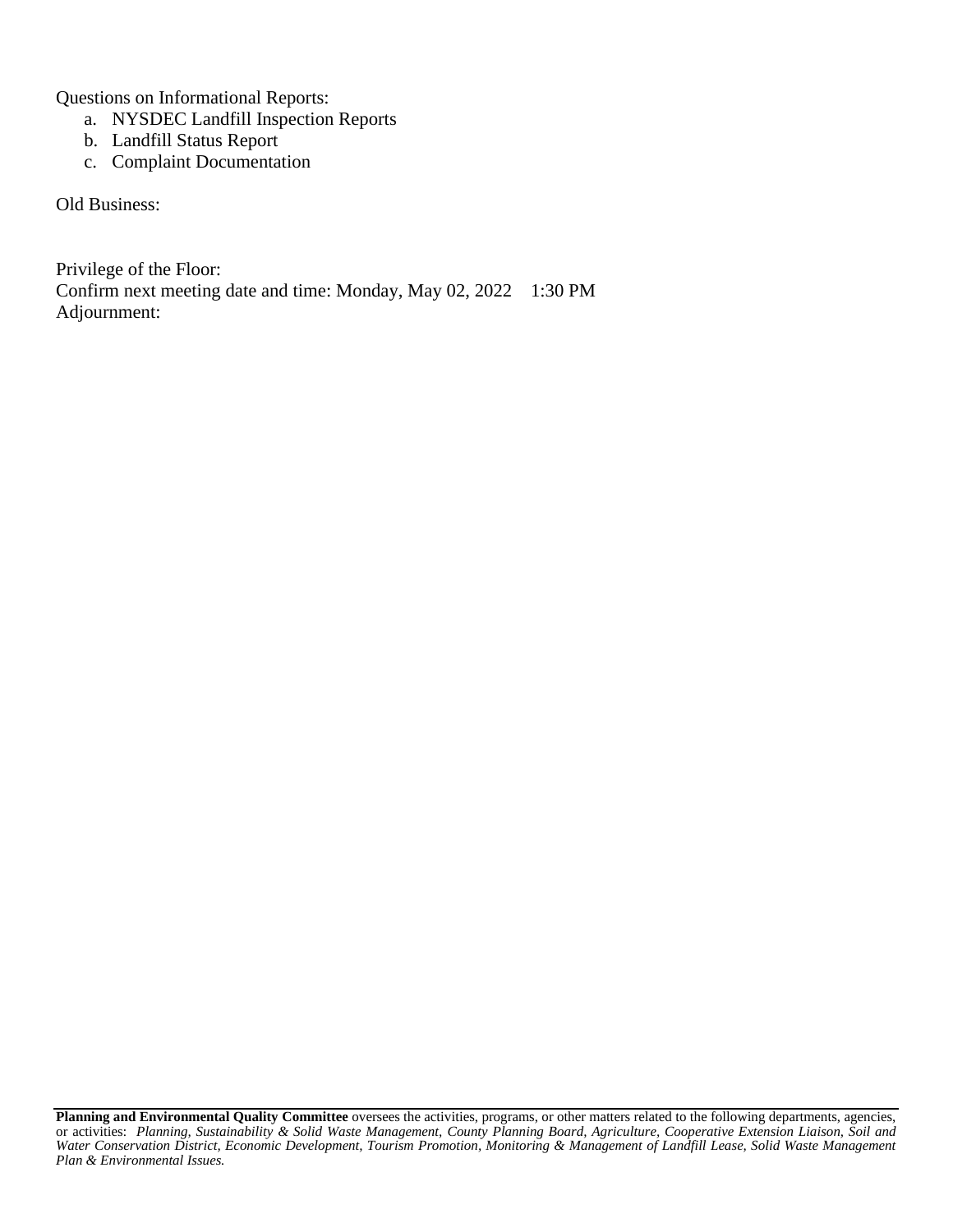Questions on Informational Reports:

- a. NYSDEC Landfill Inspection Reports
- b. Landfill Status Report
- c. Complaint Documentation

Old Business:

Privilege of the Floor: Confirm next meeting date and time: Monday, May 02, 2022 1:30 PM Adjournment:

**Planning and Environmental Quality Committee** oversees the activities, programs, or other matters related to the following departments, agencies, or activities: *Planning, Sustainability & Solid Waste Management, County Planning Board, Agriculture, Cooperative Extension Liaison, Soil and Water Conservation District, Economic Development, Tourism Promotion, Monitoring & Management of Landfill Lease, Solid Waste Management Plan & Environmental Issues.*